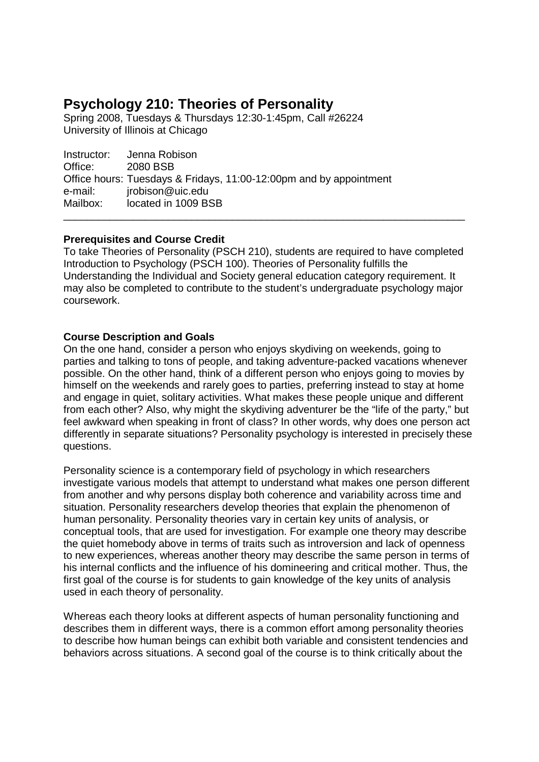# **Psychology 210: Theories of Personality**

Spring 2008, Tuesdays & Thursdays 12:30-1:45pm, Call #26224 University of Illinois at Chicago

Instructor: Jenna Robison<br>Office: 2080 BSB **2080 BSB** Office hours: Tuesdays & Fridays, 11:00-12:00pm and by appointment e-mail: jrobison@uic.edu Mailbox: located in 1009 BSB \_\_\_\_\_\_\_\_\_\_\_\_\_\_\_\_\_\_\_\_\_\_\_\_\_\_\_\_\_\_\_\_\_\_\_\_\_\_\_\_\_\_\_\_\_\_\_\_\_\_\_\_\_\_\_\_\_\_\_\_\_\_\_\_\_\_\_\_\_

# **Prerequisites and Course Credit**

To take Theories of Personality (PSCH 210), students are required to have completed Introduction to Psychology (PSCH 100). Theories of Personality fulfills the Understanding the Individual and Society general education category requirement. It may also be completed to contribute to the student's undergraduate psychology major coursework.

# **Course Description and Goals**

On the one hand, consider a person who enjoys skydiving on weekends, going to parties and talking to tons of people, and taking adventure-packed vacations whenever possible. On the other hand, think of a different person who enjoys going to movies by himself on the weekends and rarely goes to parties, preferring instead to stay at home and engage in quiet, solitary activities. What makes these people unique and different from each other? Also, why might the skydiving adventurer be the "life of the party," but feel awkward when speaking in front of class? In other words, why does one person act differently in separate situations? Personality psychology is interested in precisely these questions.

Personality science is a contemporary field of psychology in which researchers investigate various models that attempt to understand what makes one person different from another and why persons display both coherence and variability across time and situation. Personality researchers develop theories that explain the phenomenon of human personality. Personality theories vary in certain key units of analysis, or conceptual tools, that are used for investigation. For example one theory may describe the quiet homebody above in terms of traits such as introversion and lack of openness to new experiences, whereas another theory may describe the same person in terms of his internal conflicts and the influence of his domineering and critical mother. Thus, the first goal of the course is for students to gain knowledge of the key units of analysis used in each theory of personality.

Whereas each theory looks at different aspects of human personality functioning and describes them in different ways, there is a common effort among personality theories to describe how human beings can exhibit both variable and consistent tendencies and behaviors across situations. A second goal of the course is to think critically about the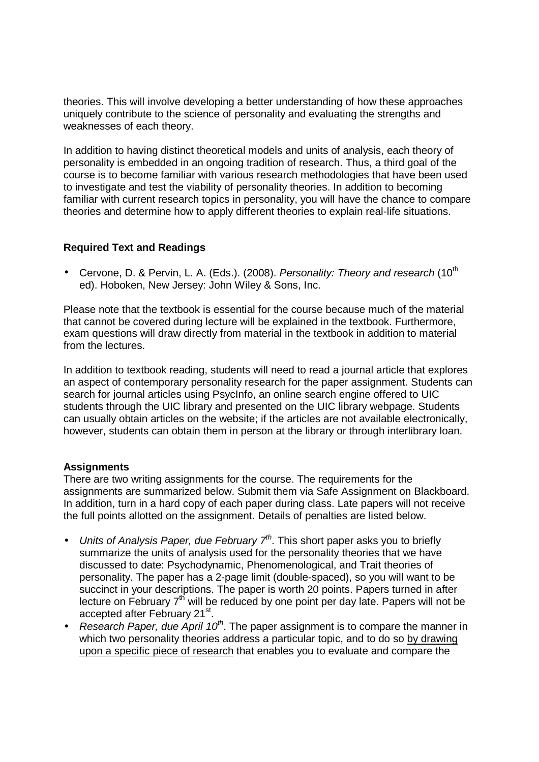theories. This will involve developing a better understanding of how these approaches uniquely contribute to the science of personality and evaluating the strengths and weaknesses of each theory.

In addition to having distinct theoretical models and units of analysis, each theory of personality is embedded in an ongoing tradition of research. Thus, a third goal of the course is to become familiar with various research methodologies that have been used to investigate and test the viability of personality theories. In addition to becoming familiar with current research topics in personality, you will have the chance to compare theories and determine how to apply different theories to explain real-life situations.

# **Required Text and Readings**

• Cervone, D. & Pervin, L. A. (Eds.). (2008). Personality: Theory and research  $(10^{th}$ ed). Hoboken, New Jersey: John Wiley & Sons, Inc.

Please note that the textbook is essential for the course because much of the material that cannot be covered during lecture will be explained in the textbook. Furthermore, exam questions will draw directly from material in the textbook in addition to material from the lectures.

In addition to textbook reading, students will need to read a journal article that explores an aspect of contemporary personality research for the paper assignment. Students can search for journal articles using PsycInfo, an online search engine offered to UIC students through the UIC library and presented on the UIC library webpage. Students can usually obtain articles on the website; if the articles are not available electronically, however, students can obtain them in person at the library or through interlibrary loan.

# **Assignments**

There are two writing assignments for the course. The requirements for the assignments are summarized below. Submit them via Safe Assignment on Blackboard. In addition, turn in a hard copy of each paper during class. Late papers will not receive the full points allotted on the assignment. Details of penalties are listed below.

- Units of Analysis Paper, due February  $7<sup>th</sup>$ . This short paper asks you to briefly summarize the units of analysis used for the personality theories that we have discussed to date: Psychodynamic, Phenomenological, and Trait theories of personality. The paper has a 2-page limit (double-spaced), so you will want to be succinct in your descriptions. The paper is worth 20 points. Papers turned in after lecture on February  $7<sup>th</sup>$  will be reduced by one point per day late. Papers will not be accepted after February 21<sup>st</sup>.
- Research Paper, due April  $10^{th}$ . The paper assignment is to compare the manner in which two personality theories address a particular topic, and to do so by drawing upon a specific piece of research that enables you to evaluate and compare the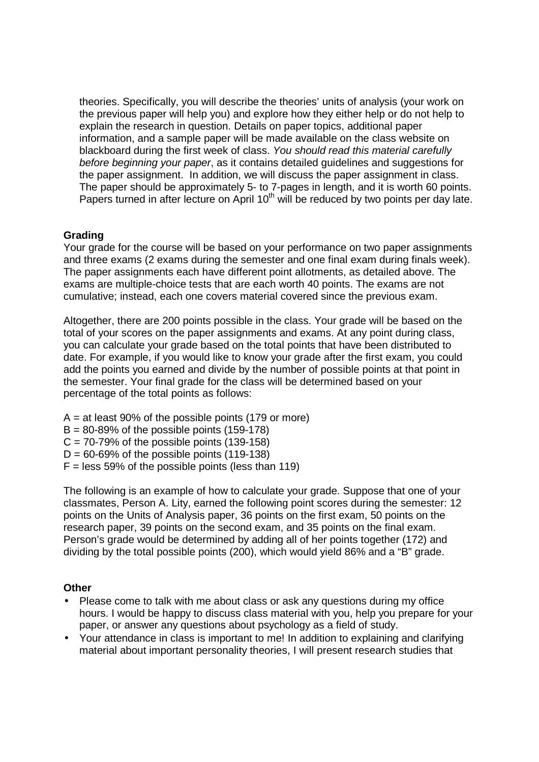theories. Specifically, you will describe the theories' units of analysis (your work on the previous paper will help you) and explore how they either help or do not help to explain the research in question. Details on paper topics, additional paper information, and a sample paper will be made available on the class website on blackboard during the first week of class. You should read this material carefully before beginning your paper, as it contains detailed guidelines and suggestions for the paper assignment. In addition, we will discuss the paper assignment in class. The paper should be approximately 5- to 7-pages in length, and it is worth 60 points. Papers turned in after lecture on April 10<sup>th</sup> will be reduced by two points per day late.

# **Grading**

Your grade for the course will be based on your performance on two paper assignments and three exams (2 exams during the semester and one final exam during finals week). The paper assignments each have different point allotments, as detailed above. The exams are multiple-choice tests that are each worth 40 points. The exams are not cumulative; instead, each one covers material covered since the previous exam.

Altogether, there are 200 points possible in the class. Your grade will be based on the total of your scores on the paper assignments and exams. At any point during class, you can calculate your grade based on the total points that have been distributed to date. For example, if you would like to know your grade after the first exam, you could add the points you earned and divide by the number of possible points at that point in the semester. Your final grade for the class will be determined based on your percentage of the total points as follows:

- $A = at least 90\%$  of the possible points (179 or more)
- $B = 80-89\%$  of the possible points (159-178)
- $C = 70-79\%$  of the possible points (139-158)
- $D = 60-69\%$  of the possible points (119-138)
- $F =$  less 59% of the possible points (less than 119)

The following is an example of how to calculate your grade. Suppose that one of your classmates, Person A. Lity, earned the following point scores during the semester: 12 points on the Units of Analysis paper, 36 points on the first exam, 50 points on the research paper, 39 points on the second exam, and 35 points on the final exam. Person's grade would be determined by adding all of her points together (172) and dividing by the total possible points (200), which would yield 86% and a "B" grade.

#### **Other**

- Please come to talk with me about class or ask any questions during my office hours. I would be happy to discuss class material with you, help you prepare for your paper, or answer any questions about psychology as a field of study.
- Your attendance in class is important to me! In addition to explaining and clarifying material about important personality theories, I will present research studies that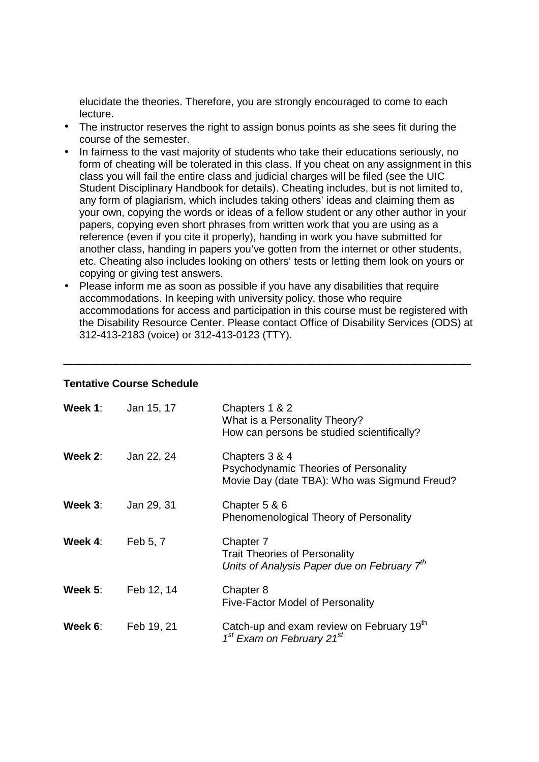elucidate the theories. Therefore, you are strongly encouraged to come to each lecture.

- The instructor reserves the right to assign bonus points as she sees fit during the course of the semester.
- In fairness to the vast majority of students who take their educations seriously, no form of cheating will be tolerated in this class. If you cheat on any assignment in this class you will fail the entire class and judicial charges will be filed (see the UIC Student Disciplinary Handbook for details). Cheating includes, but is not limited to, any form of plagiarism, which includes taking others' ideas and claiming them as your own, copying the words or ideas of a fellow student or any other author in your papers, copying even short phrases from written work that you are using as a reference (even if you cite it properly), handing in work you have submitted for another class, handing in papers you've gotten from the internet or other students, etc. Cheating also includes looking on others' tests or letting them look on yours or copying or giving test answers.
- Please inform me as soon as possible if you have any disabilities that require accommodations. In keeping with university policy, those who require accommodations for access and participation in this course must be registered with the Disability Resource Center. Please contact Office of Disability Services (ODS) at 312-413-2183 (voice) or 312-413-0123 (TTY).

\_\_\_\_\_\_\_\_\_\_\_\_\_\_\_\_\_\_\_\_\_\_\_\_\_\_\_\_\_\_\_\_\_\_\_\_\_\_\_\_\_\_\_\_\_\_\_\_\_\_\_\_\_\_\_\_\_\_\_\_\_\_\_\_\_\_\_\_\_\_

#### **Tentative Course Schedule**

| Week $1$ : | Jan 15, 17 | Chapters 1 & 2<br>What is a Personality Theory?<br>How can persons be studied scientifically?                |
|------------|------------|--------------------------------------------------------------------------------------------------------------|
| Week 2:    | Jan 22, 24 | Chapters 3 & 4<br>Psychodynamic Theories of Personality<br>Movie Day (date TBA): Who was Sigmund Freud?      |
| Week 3:    | Jan 29, 31 | Chapter 5 & 6<br>Phenomenological Theory of Personality                                                      |
| Week 4:    | Feb 5, 7   | Chapter 7<br><b>Trait Theories of Personality</b><br>Units of Analysis Paper due on February 7 <sup>th</sup> |
| Week $5$ : | Feb 12, 14 | Chapter 8<br><b>Five-Factor Model of Personality</b>                                                         |
| Week 6:    | Feb 19, 21 | Catch-up and exam review on February 19th<br>1 <sup>st</sup> Exam on February 21 <sup>st</sup>               |